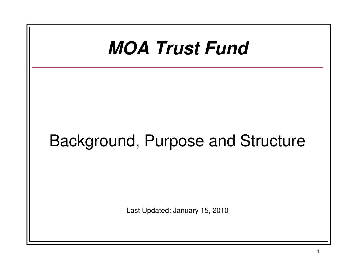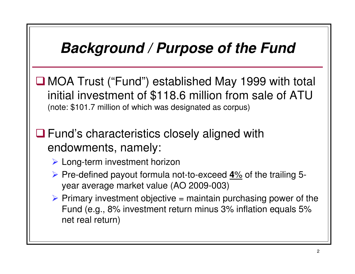# **Background / Purpose of the Fund**

■MOA Trust ("Fund") established May 1999 with total initial investment of \$118.6 million from sale of ATU (note: \$101.7 million of which was designated as corpus)

**□ Fund's characteristics closely aligned with** endowments, namely:

- > Long-term investment horizon
- Pre-defined payout formula not-to-exceed  $\frac{4\%}{100}$  of the trailing 5year average market value (AO 2009-003)
- Primary investment objective = maintain purchasing power of the  $\epsilon$ Fund (e.g., 8% investment return minus 3% inflation equals 5% net real return)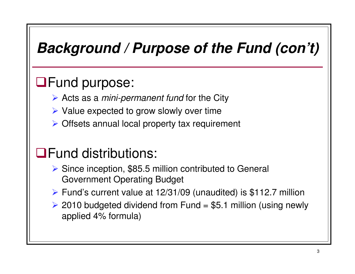# **Background / Purpose of the Fund (con't)**

### **OFund purpose:**

- Acts as a *mini-permanent fund* for the City
- > Value expected to grow slowly over time
- > Offsets annual local property tax requirement

## Fund distributions:

- > Since inception, \$85.5 million contributed to General Government Operating Budget
- Fund's current value at 12/31/09 (unaudited) is \$112.7 million
- ► 2010 budgeted dividend from Fund = \$5.1 million (using newly applied 4% formula)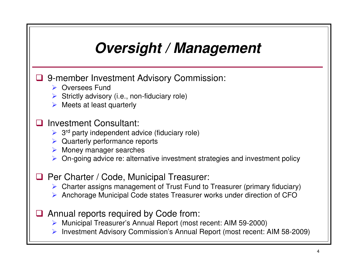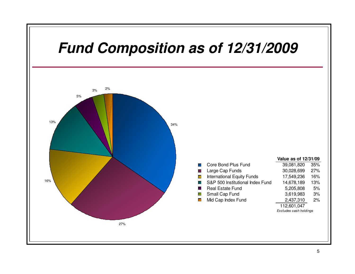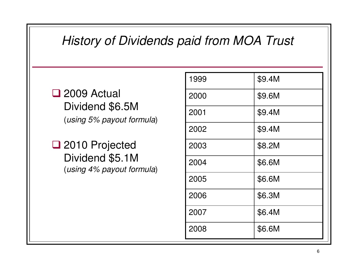#### History of Dividends paid from MOA Trust

2009 Actual<br>Dividend \$6 Dividend \$6.5M(using 5% payout formula)

□ 2010 Projected<br>Dividend \$5,1M Dividend \$5.1M (using 4% payout formula)

| 1999 | \$9.4M |
|------|--------|
| 2000 | \$9.6M |
| 2001 | \$9.4M |
| 2002 | \$9.4M |
| 2003 | \$8.2M |
| 2004 | \$6.6M |
| 2005 | \$6.6M |
| 2006 | \$6.3M |
| 2007 | \$6.4M |
| 2008 | \$6.6M |